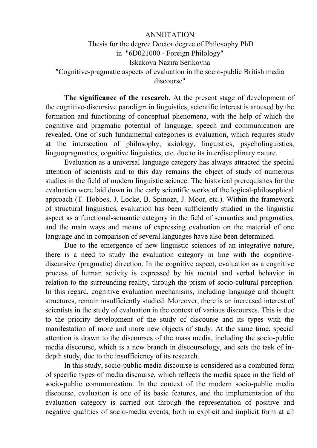## ANNOTATION Thesis for the degree Doctor degree of Philosophy PhD in "6D021000 - Foreign Philology" Iskakova Nazira Serikovna "Cognitive-pragmatic aspects of evaluation in the socio-public British media discourse"

**The significance of the research.** At the present stage of development of the cognitive-discursive paradigm in linguistics, scientific interest is aroused by the formation and functioning of conceptual phenomena, with the help of which the cognitive and pragmatic potential of language, speech and communication are revealed. One of such fundamental categories is evaluation, which requires study at the intersection of philosophy, axiology, linguistics, psycholinguistics, linguopragmatics, cognitive linguistics, etc. due to its interdisciplinary nature.

Evaluation as a universal language category has always attracted the special attention of scientists and to this day remains the object of study of numerous studies in the field of modern linguistic science. The historical prerequisites for the evaluation were laid down in the early scientific works of the logical-philosophical approach (T. Hobbes, J. Locke, B. Spinoza, J. Moor, etc.). Within the framework of structural linguistics, evaluation has been sufficiently studied in the linguistic aspect as a functional-semantic category in the field of semantics and pragmatics, and the main ways and means of expressing evaluation on the material of one language and in comparison of several languages have also been determined.

Due to the emergence of new linguistic sciences of an integrative nature, there is a need to study the evaluation category in line with the cognitivediscursive (pragmatic) direction. In the cognitive aspect, evaluation as a cognitive process of human activity is expressed by his mental and verbal behavior in relation to the surrounding reality, through the prism of socio-cultural perception. In this regard, cognitive evaluation mechanisms, including language and thought structures, remain insufficiently studied. Moreover, there is an increased interest of scientists in the study of evaluation in the context of various discourses. This is due to the priority development of the study of discourse and its types with the manifestation of more and more new objects of study. At the same time, special attention is drawn to the discourses of the mass media, including the socio-public media discourse, which is a new branch in discoursology, and sets the task of indepth study, due to the insufficiency of its research.

In this study, socio-public media discourse is considered as a combined form of specific types of media discourse, which reflects the media space in the field of socio-public communication. In the context of the modern socio-public media discourse, evaluation is one of its basic features, and the implementation of the evaluation category is carried out through the representation of positive and negative qualities of socio-media events, both in explicit and implicit form at all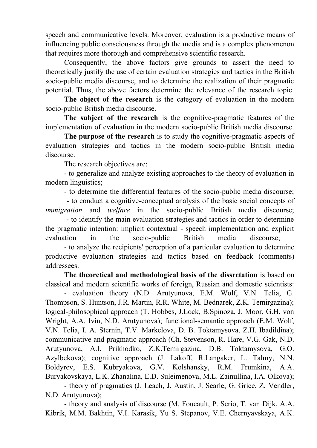speech and communicative levels. Moreover, evaluation is a productive means of influencing public consciousness through the media and is a complex phenomenon that requires more thorough and comprehensive scientific research.

Consequently, the above factors give grounds to assert the need to theoretically justify the use of certain evaluation strategies and tactics in the British socio-public media discourse, and to determine the realization of their pragmatic potential. Thus, the above factors determine the relevance of the research topic.

**The object of the research** is the category of evaluation in the modern socio-public British media discourse.

**The subject of the research** is the cognitive-pragmatic features of the implementation of evaluation in the modern socio-public British media discourse.

**The purpose of the research** is to study the cognitive-pragmatic aspects of evaluation strategies and tactics in the modern socio-public British media discourse.

The research objectives are:

- to generalize and analyze existing approaches to the theory of evaluation in modern linguistics;

- to determine the differential features of the socio-public media discourse;

 - to conduct a cognitive-conceptual analysis of the basic social concepts of *immigration* and *welfare* in the socio-public British media discourse;

 - to identify the main evaluation strategies and tactics in order to determine the pragmatic intention: implicit contextual - speech implementation and explicit evaluation in the socio-public British media discourse;

- to analyze the recipients' perception of a particular evaluation to determine productive evaluation strategies and tactics based on feedback (comments) addressees.

**The theoretical and methodological basis of the dissretation** is based on classical and modern scientific works of foreign, Russian and domestic scientists:

- evaluation theory (N.D. Arutyunova, E.M. Wolf, V.N. Telia, G. Thompson, S. Huntson, J.R. Martin, R.R. White, M. Bednarek, Z.K. Temirgazina); logical-philosophical approach (T. Hobbes, J.Lock, B.Spinoza, J. Moor, G.H. von Wright, A.A. Ivin, N.D. Arutyunova); functional-semantic approach (E.M. Wolf, V.N. Telia, I. A. Sternin, T.V. Markelova, D. B. Toktamysova, Z.H. Ibadildina); communicative and pragmatic approach (Ch. Stevenson, R. Hare, V.G. Gak, N.D. Arutyunova, A.I. Prikhodko, Z.K.Temirgazina, D.B. Toktamysova, G.O. Azylbekova); cognitive approach (J. Lakoff, R.Langaker, L. Talmy, N.N. Boldyrev, E.S. Kubryakova, G.V. Kolshansky, R.M. Frumkina, A.A. Buryakovskaya, L.K. Zhanalina, E.D. Suleimenova, M.L. Zainullina, I.A. Olkova);

- theory of pragmatics (J. Leach, J. Austin, J. Searle, G. Grice, Z. Vendler, N.D. Arutyunova);

- theory and analysis of discourse (M. Foucault, P. Serio, T. van Dijk, A.A. Kibrik, M.M. Bakhtin, V.I. Karasik, Yu S. Stepanov, V.E. Chernyavskaya, A.K.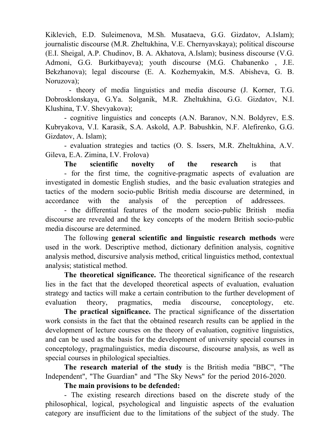Kiklevich, E.D. Suleimenova, M.Sh. Musataeva, G.G. Gizdatov, A.Islam); journalistic discourse (M.R. Zheltukhina, V.E. Chernyavskaya); political discourse (E.I. Sheigal, A.P. Chudinov, B. A. Akhatova, A.Islam); business discourse (V.G. Admoni, G.G. Burkitbayeva); youth discourse (M.G. Chabanenko , J.E. Bekzhanova); legal discourse (E. A. Kozhemyakin, M.S. Abisheva, G. B. Noruzova);

 - theory of media linguistics and media discourse (J. Korner, T.G. Dobrosklonskaya, G.Ya. Solganik, M.R. Zheltukhina, G.G. Gizdatov, N.I. Klushina, T.V. Shevyakova);

- cognitive linguistics and concepts (A.N. Baranov, N.N. Boldyrev, E.S. Kubryakova, V.I. Karasik, S.A. Askold, A.P. Babushkin, N.F. Alefirenko, G.G. Gizdatov, A. Islam);

- evaluation strategies and tactics (O. S. Issers, M.R. Zheltukhina, A.V. Gileva, E.A. Zimina, I.V. Frolova)

**The scientific novelty of the research** is that - for the first time, the cognitive-pragmatic aspects of evaluation are investigated in domestic English studies, and the basic evaluation strategies and tactics of the modern socio-public British media discourse are determined, in accordance with the analysis of the perception of addressees.

- the differential features of the modern socio-public British media discourse are revealed and the key concepts of the modern British socio-public media discourse are determined.

The following **general scientific and linguistic research methods** were used in the work. Descriptive method, dictionary definition analysis, cognitive analysis method, discursive analysis method, critical linguistics method, contextual analysis; statistical method.

**The theoretical significance.** The theoretical significance of the research lies in the fact that the developed theoretical aspects of evaluation, evaluation strategy and tactics will make a certain contribution to the further development of evaluation theory, pragmatics, media discourse, conceptology, etc.

**The practical significance.** The practical significance of the dissertation work consists in the fact that the obtained research results can be applied in the development of lecture courses on the theory of evaluation, cognitive linguistics, and can be used as the basis for the development of university special courses in conceptology, pragmalinguistics, media discourse, discourse analysis, as well as special courses in philological specialties.

**The research material of the study** is the British media "BBC", "The Independent", "The Guardian" and "The Sky News" for the period 2016-2020.

**The main provisions to be defended:** 

- The existing research directions based on the discrete study of the philosophical, logical, psychological and linguistic aspects of the evaluation category are insufficient due to the limitations of the subject of the study. The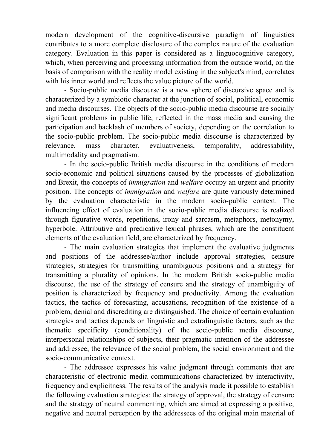modern development of the cognitive-discursive paradigm of linguistics contributes to a more complete disclosure of the complex nature of the evaluation category. Evaluation in this paper is considered as a linguocognitive category, which, when perceiving and processing information from the outside world, on the basis of comparison with the reality model existing in the subject's mind, correlates with his inner world and reflects the value picture of the world.

- Socio-public media discourse is a new sphere of discursive space and is characterized by a symbiotic character at the junction of social, political, economic and media discourses. The objects of the socio-public media discourse are socially significant problems in public life, reflected in the mass media and causing the participation and backlash of members of society, depending on the correlation to the socio-public problem. The socio-public media discourse is characterized by relevance, mass character, evaluativeness, temporality, addressability, multimodality and pragmatism.

- In the socio-public British media discourse in the conditions of modern socio-economic and political situations caused by the processes of globalization and Brexit, the concepts of *immigration* and *welfare* occupy an urgent and priority position. The concepts of *immigration* and *welfare* are quite variously determined by the evaluation characteristic in the modern socio-public context. The influencing effect of evaluation in the socio-public media discourse is realized through figurative words, repetitions, irony and sarcasm, metaphors, metonymy, hyperbole. Attributive and predicative lexical phrases, which are the constituent elements of the evaluation field, are characterized by frequency.

- The main evaluation strategies that implement the evaluative judgments and positions of the addressee/author include approval strategies, censure strategies, strategies for transmitting unambiguous positions and a strategy for transmitting a plurality of opinions. In the modern British socio-public media discourse, the use of the strategy of censure and the strategy of unambiguity of position is characterized by frequency and productivity. Among the evaluation tactics, the tactics of forecasting, accusations, recognition of the existence of a problem, denial and discrediting are distinguished. The choice of certain evaluation strategies and tactics depends on linguistic and extralinguistic factors, such as the thematic specificity (conditionality) of the socio-public media discourse, interpersonal relationships of subjects, their pragmatic intention of the addressee and addressee, the relevance of the social problem, the social environment and the socio-communicative context.

- The addressee expresses his value judgment through comments that are characteristic of electronic media communications characterized by interactivity, frequency and explicitness. The results of the analysis made it possible to establish the following evaluation strategies: the strategy of approval, the strategy of censure and the strategy of neutral commenting, which are aimed at expressing a positive, negative and neutral perception by the addressees of the original main material of